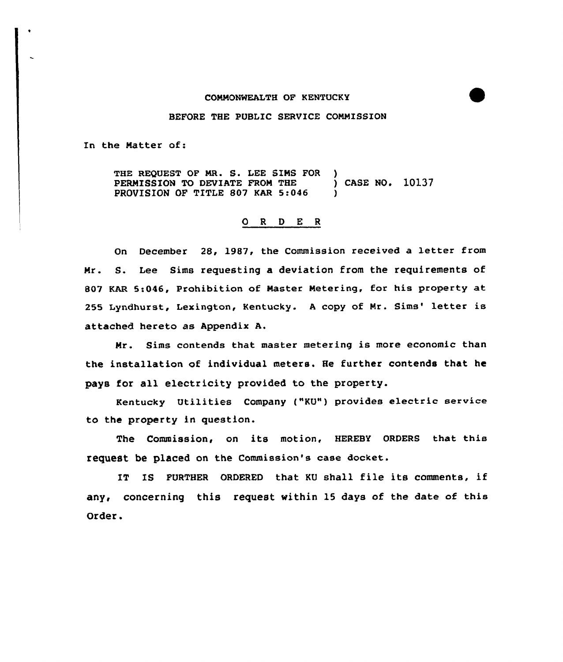#### COMMONWEALTH OF KENTUCKY

### BEFORE THE PUBLIC SERVICE COMMISSION

In the Natter of:

THE REQUEST OF MR. S. LEE SIMS FOR )<br>PERMISSION TO DEVIATE FROM THE ) CASE NO. 10137 PERMISSION TO DEVIATE FROM THE PROVISION OF TITLE 807 KAR 5:046

## 0 <sup>R</sup> <sup>D</sup> E <sup>R</sup>

On December 28, 1987, the Commission received a letter from Mr. S. Lee Sims requesting a deviation from the requirements of 807 KAR 5:046, Prohibition of Master Netering, for his property at 255 Lyndhurst, Lexington, Kentucky. A copy of Mr. Sims' letter is attached hereto as Appendix A.

Mr. Sims contends that master metering is more economic than the installation of individual meters. He further contends that he pays for all electricity provided to the property.

Kentucky Utilities Company ("KU") provides electric service to the property in question.

The Commission, on its motion, HEREBY ORDERS that this request be placed on the Commission's case docket.

IT IS FURTHER ORDERED that KU shall file its comments, if any, concerning this request within 15 days of the date of this Order.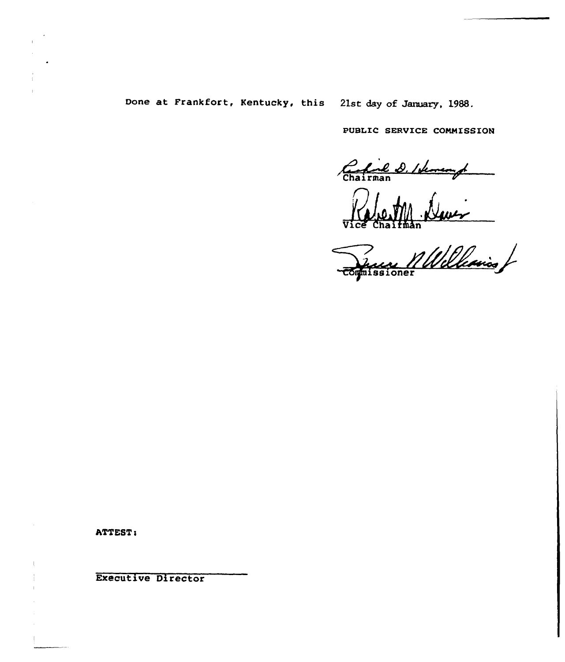## Done at Frankfort, Kentucky, this 21st day of January, 1988.

PUBLIC SERVICE COMMISSION

Chairman<br>Ruich Chairman

~immission

ATTEST:

Executive Director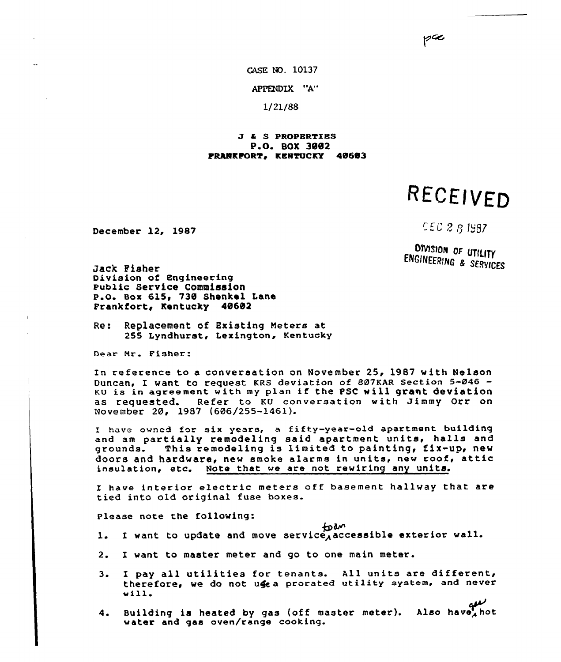pæ

CASE NO. 10137

APPENDIX "A"

1/21/88

### 4 S PROPERTZES P.O. BOX 3882 FRANKFORT, KENTUCKY 40603

RECEIVED

December 12, 1987

**CEC 2 8 1987** 

DIVISION OF UTILITY ENGINEERING & SERVICES

Jack Pieher Division of Engineering Public service Commission P.O. Box 615, 730 Shenkel Lane Frankfort< Kentucky 48682

Re: Replacement of Existing Meters at 255 Lyndhurst, Lexington, Kentucky

Dear Mr. Fisher:

In reference to a conversation on November 25, 1987 with Nelson Duncan, I want to request KRS deviation of 887KAR Section 5-046 KU is in agreement with my plan if the PSC will grant deviation as requested. Refer to KU conversation with Jimmy Orr on November 20, 1987 (606/255-1461).

have owned for six years, <sup>a</sup> fifty-year-old apartment building and am pa<mark>rtially remodeling said apartment units, halls and</mark><br>grounds. This remodeling is limited to painting, fix-up, new This remodeling is limited to painting, fix-up, new doors and hardware, new smoke alarms in units, new roof, attic insulation, etc. Note that we are not rewiring any units.

I have interior electric meters off basement hallway that are tied into old original fuse boxes.

Please note the following:

1. I want to update and move service, accessible exterior wall.

- 2. I want to master meter and go to one main meter.
- 3. I pay all utilities for tenants. All units are different< therefore, we do not use a prorated utility system, and never will.
- 4. Building is heated by gas (off master meter). Also have hot water and gas oven/range cooking.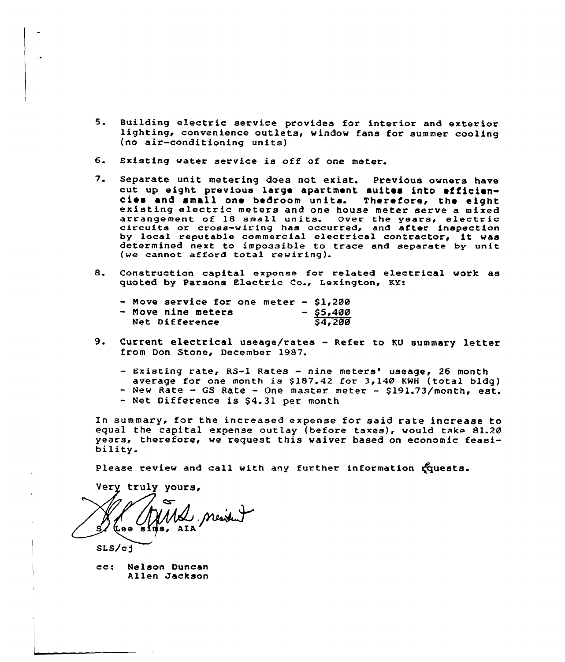- 5. Building electric service provides for interior and exterior<br>lighting, convenience outlets, window fans for summer cooling (no air-conditioning units)
- 6. Existing water service is off of one meter.
- 7. Separate unit metering does not exist. Previous owners have cut up eight previous large apartment suites into efficien-<br>cies and small one bedroom units. Therefore, the eight<br>existing electric meters and one house meter serve a mixed arrangement of 18 small units. Over the years, electric<br>circuits or cross-wiring has occurred, and after inspection by local reputable commercial electrical contractor, it was determined next to impossible to trace and separate by unit (we cannot afford total rewiring).
- 8. Construction capital expense for related electrical work as quoted by Parsons Electric Co., Lexington, KY:

|  | - Move service for one meter - $$1,200$ |  |  |             |
|--|-----------------------------------------|--|--|-------------|
|  | - Move nine meters                      |  |  | $-$ \$5,400 |
|  | Net Difference                          |  |  | 54,200      |

- 9. Current electrical useage/rates Refer to KU summary letter from Don Stone, December 1987.
	- Existing rate, RS-1 Rates nine meters' useage, 26 month
	- average for one month is  $$187.42$  for  $3,140$  KWH (total bldg) - New Rate - GS Rate - One master meter - \$191.73/month, est.
	-
	- Net Difference is \$4.31 per month

In summary, for the increased expense for said rate increase to equal the capital expense outlay (before taxes), would take 81.20 years, therefore, we request this waiver based on economic feasi-<br>bility.

Please review and call with any further information ruests.

**Very truly yours,** ns, AIA

SLS/cg

cc: Nelson Duncan Allen Jackson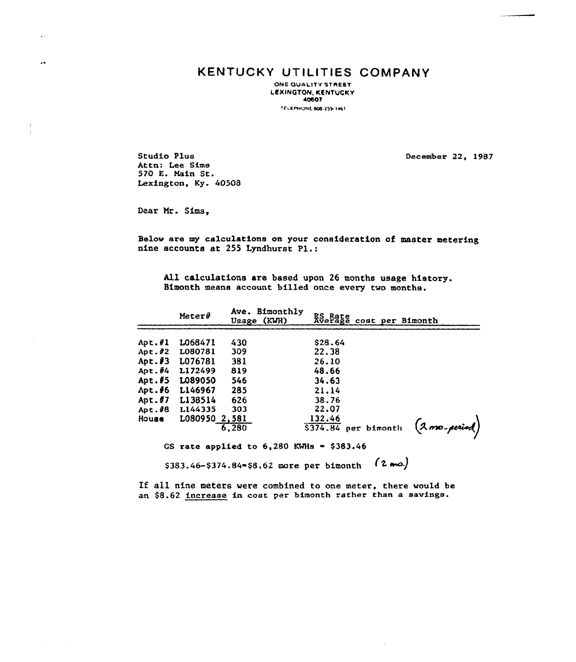# KENTUCKY UTILITIES COMPANY

ONE QUALITY STREET l.EXINGTON, KENTUCKY 40bOT

TELEPHONE 606-255-1461

Studio Plus Attn: Lee Sims 570 E. Main St. Lexington, Ky. 40508

December 22, 1987

Dear Nr. Sims,

 $\downarrow$  .

 $\ddot{\phantom{a}}$ 

 $\frac{1}{2}$  $\frac{1}{2}$ 

> Below are my calculations on your consideration of master metering nine accounts at <sup>255</sup> Lyndhurst Pl.:

All calculations are based upon 26 months usage history. Bimonth means account billed once every two months.

|                           | $Meter\ddot{\theta}$ | Ave. Bimonthly<br>Usage (KWH)                      | RS Rate<br>Average cost per Bimonth |                 |
|---------------------------|----------------------|----------------------------------------------------|-------------------------------------|-----------------|
|                           |                      |                                                    |                                     |                 |
| Apt.#1                    | 1068471              | 430                                                | \$28.64                             |                 |
| $Apt.$ #2                 | L080781              | 309                                                | 22.38                               |                 |
| Apt. $#3$                 | L076781              | 381                                                | 26.10                               |                 |
| Apt. $\hat{\mathbf{z}}$ 4 | L172499              | 819                                                | 48.66                               |                 |
| $Art.$ $45$               | <b>LO89050</b>       | 546                                                | 34.63                               |                 |
| Apt.46                    | L146967              | 285                                                | 21.14                               |                 |
| Apt. $#7$                 | L138514              | 626                                                | 38.76                               |                 |
| Apt. $#8$                 | L144335              | 303                                                | 22.07                               |                 |
| House                     | L080950 2,581        |                                                    | 132.46                              |                 |
|                           |                      | 6.280                                              | \$374.84 per bimonth                | $(2mo\$ period) |
|                           |                      | GS rate applied to $6,280$ KWHs $\approx$ \$383.46 |                                     |                 |

 $$383.46 - $374.84 = $8.62$  more per bimonth  $(2 \text{ mol})$ 

If all nine meters were combined to one meter, there would be an \$8.62 increase in cost per bimonth rather than a savings.